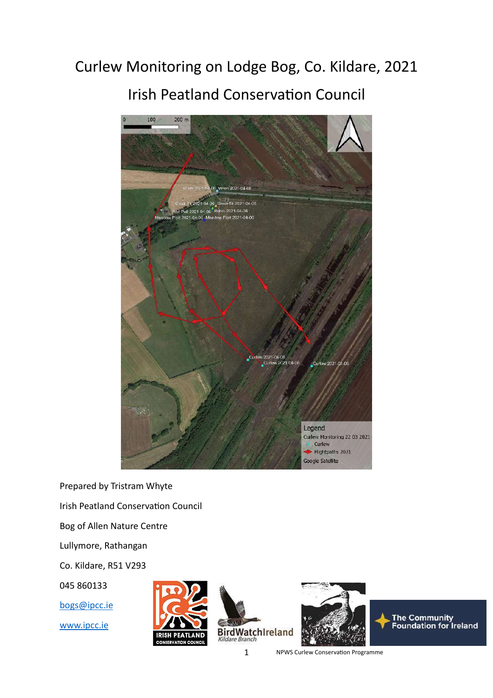# Curlew Monitoring on Lodge Bog, Co. Kildare, 2021

Irish Peatland Conservation Council



Prepared by Tristram Whyte Irish Peatland Conservation Council Bog of Allen Nature Centre Lullymore, Rathangan Co. Kildare, R51 V293

045 860133

[bogs@ipcc.ie](mailto:bogs@ipcc.ie)

[www.ipcc.ie](http://www.ipcc.ie)







**The Community<br>Foundation for Ireland** 

1 NPWS Curlew Conservation Programme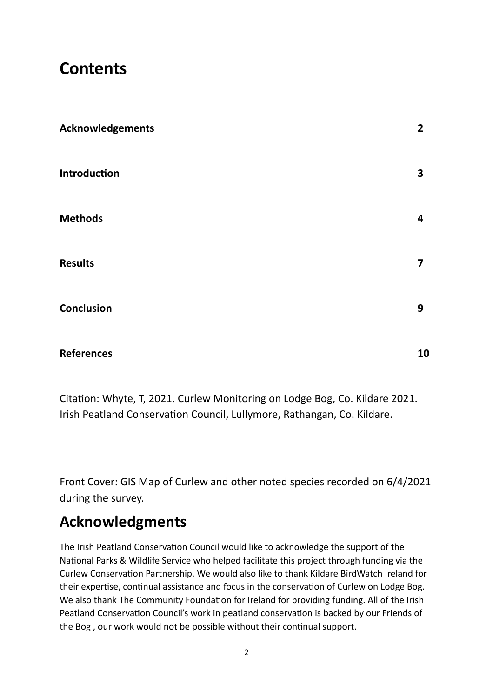# **Contents**

| <b>Acknowledgements</b> | $\overline{2}$ |
|-------------------------|----------------|
| Introduction            | 3              |
| <b>Methods</b>          | 4              |
| <b>Results</b>          | 7              |
| <b>Conclusion</b>       | 9              |
| <b>References</b>       | 10             |

Citation: Whyte, T, 2021. Curlew Monitoring on Lodge Bog, Co. Kildare 2021. Irish Peatland Conservation Council, Lullymore, Rathangan, Co. Kildare.

Front Cover: GIS Map of Curlew and other noted species recorded on 6/4/2021 during the survey.

## **Acknowledgments**

The Irish Peatland Conservation Council would like to acknowledge the support of the National Parks & Wildlife Service who helped facilitate this project through funding via the Curlew Conservation Partnership. We would also like to thank Kildare BirdWatch Ireland for their expertise, continual assistance and focus in the conservation of Curlew on Lodge Bog. We also thank The Community Foundation for Ireland for providing funding. All of the Irish Peatland Conservation Council's work in peatland conservation is backed by our Friends of the Bog , our work would not be possible without their continual support.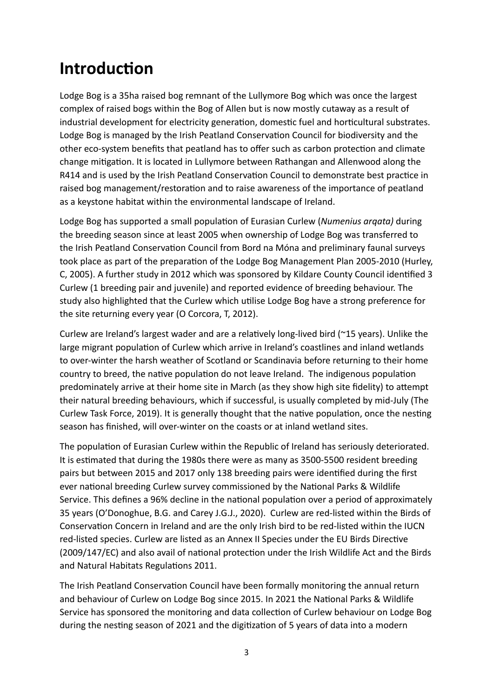# **Introduction**

Lodge Bog is a 35ha raised bog remnant of the Lullymore Bog which was once the largest complex of raised bogs within the Bog of Allen but is now mostly cutaway as a result of industrial development for electricity generation, domestic fuel and horticultural substrates. Lodge Bog is managed by the Irish Peatland Conservation Council for biodiversity and the other eco-system benefits that peatland has to offer such as carbon protection and climate change mitigation. It is located in Lullymore between Rathangan and Allenwood along the R414 and is used by the Irish Peatland Conservation Council to demonstrate best practice in raised bog management/restoration and to raise awareness of the importance of peatland as a keystone habitat within the environmental landscape of Ireland.

Lodge Bog has supported a small population of Eurasian Curlew (*Numenius arqata)* during the breeding season since at least 2005 when ownership of Lodge Bog was transferred to the Irish Peatland Conservation Council from Bord na Móna and preliminary faunal surveys took place as part of the preparation of the Lodge Bog Management Plan 2005-2010 (Hurley, C, 2005). A further study in 2012 which was sponsored by Kildare County Council identified 3 Curlew (1 breeding pair and juvenile) and reported evidence of breeding behaviour. The study also highlighted that the Curlew which utilise Lodge Bog have a strong preference for the site returning every year (O Corcora, T, 2012).

Curlew are Ireland's largest wader and are a relatively long-lived bird (~15 years). Unlike the large migrant population of Curlew which arrive in Ireland's coastlines and inland wetlands to over-winter the harsh weather of Scotland or Scandinavia before returning to their home country to breed, the native population do not leave Ireland. The indigenous population predominately arrive at their home site in March (as they show high site fidelity) to attempt their natural breeding behaviours, which if successful, is usually completed by mid-July (The Curlew Task Force, 2019). It is generally thought that the native population, once the nesting season has finished, will over-winter on the coasts or at inland wetland sites.

The population of Eurasian Curlew within the Republic of Ireland has seriously deteriorated. It is estimated that during the 1980s there were as many as 3500-5500 resident breeding pairs but between 2015 and 2017 only 138 breeding pairs were identified during the first ever national breeding Curlew survey commissioned by the National Parks & Wildlife Service. This defines a 96% decline in the national population over a period of approximately 35 years (O'Donoghue, B.G. and Carey J.G.J., 2020). Curlew are red-listed within the Birds of Conservation Concern in Ireland and are the only Irish bird to be red-listed within the IUCN red-listed species. Curlew are listed as an Annex II Species under the EU Birds Directive (2009/147/EC) and also avail of national protection under the Irish Wildlife Act and the Birds and Natural Habitats Regulations 2011.

The Irish Peatland Conservation Council have been formally monitoring the annual return and behaviour of Curlew on Lodge Bog since 2015. In 2021 the National Parks & Wildlife Service has sponsored the monitoring and data collection of Curlew behaviour on Lodge Bog during the nesting season of 2021 and the digitization of 5 years of data into a modern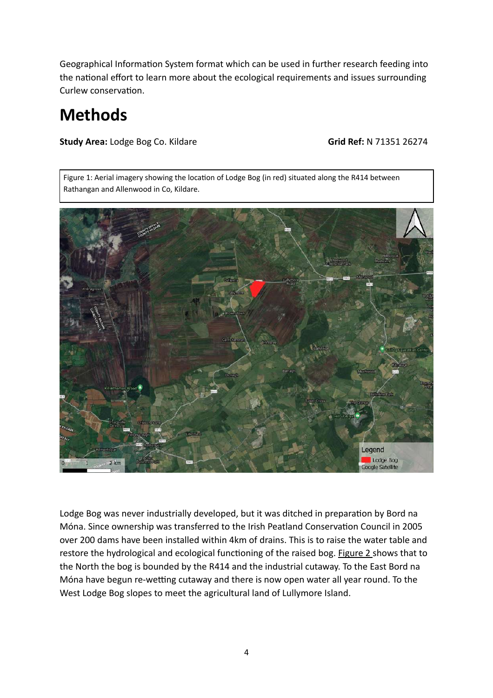Geographical Information System format which can be used in further research feeding into the national effort to learn more about the ecological requirements and issues surrounding Curlew conservation.

# **Methods**

#### **Study Area:** Lodge Bog Co. Kildare **Grid Ref:** N 71351 26274

Figure 1: Aerial imagery showing the location of Lodge Bog (in red) situated along the R414 between Rathangan and Allenwood in Co, Kildare.



Lodge Bog was never industrially developed, but it was ditched in preparation by Bord na Móna. Since ownership was transferred to the Irish Peatland Conservation Council in 2005 over 200 dams have been installed within 4km of drains. This is to raise the water table and restore the hydrological and ecological functioning of the raised bog. Figure 2 shows that to the North the bog is bounded by the R414 and the industrial cutaway. To the East Bord na Móna have begun re-wetting cutaway and there is now open water all year round. To the West Lodge Bog slopes to meet the agricultural land of Lullymore Island.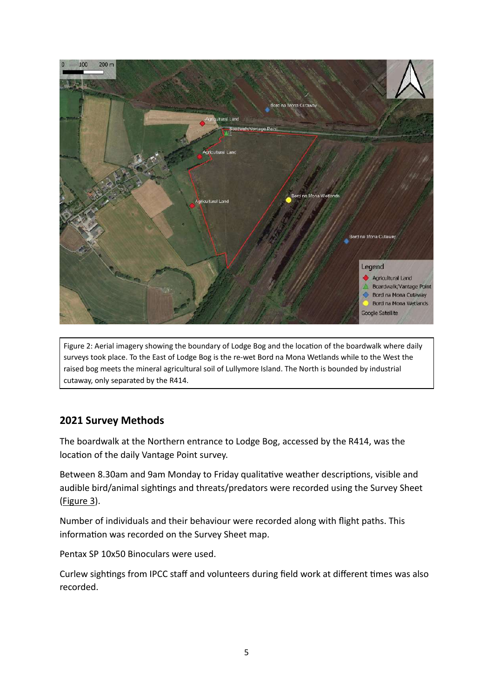

Figure 2: Aerial imagery showing the boundary of Lodge Bog and the location of the boardwalk where daily surveys took place. To the East of Lodge Bog is the re-wet Bord na Mona Wetlands while to the West the raised bog meets the mineral agricultural soil of Lullymore Island. The North is bounded by industrial cutaway, only separated by the R414.

### **2021 Survey Methods**

The boardwalk at the Northern entrance to Lodge Bog, accessed by the R414, was the location of the daily Vantage Point survey.

Between 8.30am and 9am Monday to Friday qualitative weather descriptions, visible and audible bird/animal sightings and threats/predators were recorded using the Survey Sheet (Figure 3).

Number of individuals and their behaviour were recorded along with flight paths. This information was recorded on the Survey Sheet map.

Pentax SP 10x50 Binoculars were used.

Curlew sightings from IPCC staff and volunteers during field work at different times was also recorded.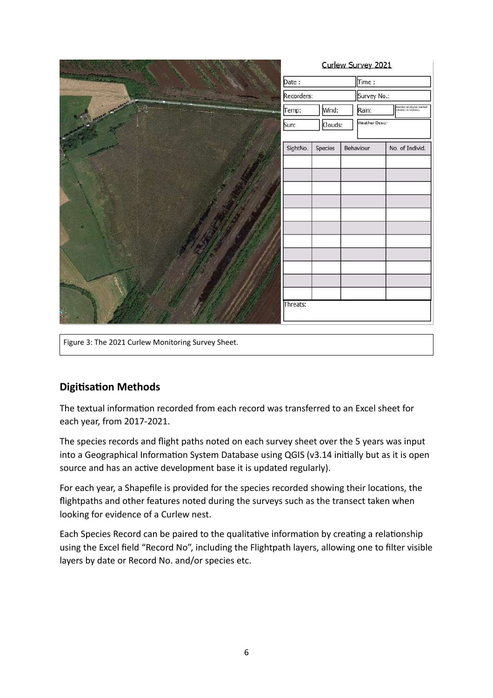|   | Curlew Survey 2021 |         |               |                                                               |
|---|--------------------|---------|---------------|---------------------------------------------------------------|
|   | Date:              |         | Time:         |                                                               |
|   | Recorders:         |         | Survey No.:   |                                                               |
|   | Temp:              | Wind:   | Rain:         | .<br>Alexander actividuales marked<br>3 (worst) to 10 (best). |
|   | Sun:               | Clouds: | Weather Desc- |                                                               |
|   | SightNo.           | Species | Behaviour     | No. of Individ.                                               |
|   |                    |         |               |                                                               |
|   |                    |         |               |                                                               |
|   |                    |         |               |                                                               |
| m |                    |         |               |                                                               |
|   |                    |         |               |                                                               |
|   |                    |         |               |                                                               |
|   |                    |         |               |                                                               |
|   | Threats:           |         |               |                                                               |
|   |                    |         |               |                                                               |

Figure 3: The 2021 Curlew Monitoring Survey Sheet.

### **Digitisation Methods**

The textual information recorded from each record was transferred to an Excel sheet for each year, from 2017-2021.

The species records and flight paths noted on each survey sheet over the 5 years was input into a Geographical Information System Database using QGIS (v3.14 initially but as it is open source and has an active development base it is updated regularly).

For each year, a Shapefile is provided for the species recorded showing their locations, the flightpaths and other features noted during the surveys such as the transect taken when looking for evidence of a Curlew nest.

Each Species Record can be paired to the qualitative information by creating a relationship using the Excel field "Record No", including the Flightpath layers, allowing one to filter visible layers by date or Record No. and/or species etc.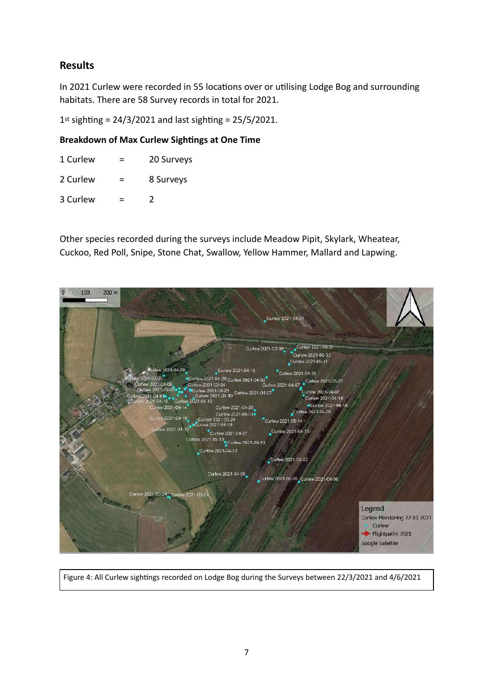### **Results**

In 2021 Curlew were recorded in 55 locations over or utilising Lodge Bog and surrounding habitats. There are 58 Survey records in total for 2021.

1st sighting =  $24/3/2021$  and last sighting =  $25/5/2021$ .

#### **Breakdown of Max Curlew Sightings at One Time**

| 1 Curlew | 20 Surveys |
|----------|------------|
|          |            |

- 2 Curlew = 8 Surveys
- $3$  Curlew  $=$  2

Other species recorded during the surveys include Meadow Pipit, Skylark, Wheatear, Cuckoo, Red Poll, Snipe, Stone Chat, Swallow, Yellow Hammer, Mallard and Lapwing.



Figure 4: All Curlew sightings recorded on Lodge Bog during the Surveys between 22/3/2021 and 4/6/2021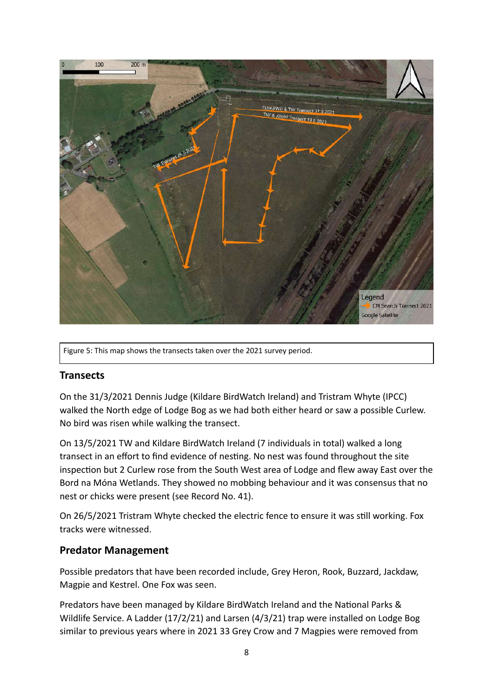

Figure 5: This map shows the transects taken over the 2021 survey period.

### **Transects**

On the 31/3/2021 Dennis Judge (Kildare BirdWatch Ireland) and Tristram Whyte (IPCC) walked the North edge of Lodge Bog as we had both either heard or saw a possible Curlew. No bird was risen while walking the transect.

On 13/5/2021 TW and Kildare BirdWatch Ireland (7 individuals in total) walked a long transect in an effort to find evidence of nesting. No nest was found throughout the site inspection but 2 Curlew rose from the South West area of Lodge and flew away East over the Bord na Móna Wetlands. They showed no mobbing behaviour and it was consensus that no nest or chicks were present (see Record No. 41).

On 26/5/2021 Tristram Whyte checked the electric fence to ensure it was still working. Fox tracks were witnessed.

### **Predator Management**

Possible predators that have been recorded include, Grey Heron, Rook, Buzzard, Jackdaw, Magpie and Kestrel. One Fox was seen.

Predators have been managed by Kildare BirdWatch Ireland and the National Parks & Wildlife Service. A Ladder (17/2/21) and Larsen (4/3/21) trap were installed on Lodge Bog similar to previous years where in 2021 33 Grey Crow and 7 Magpies were removed from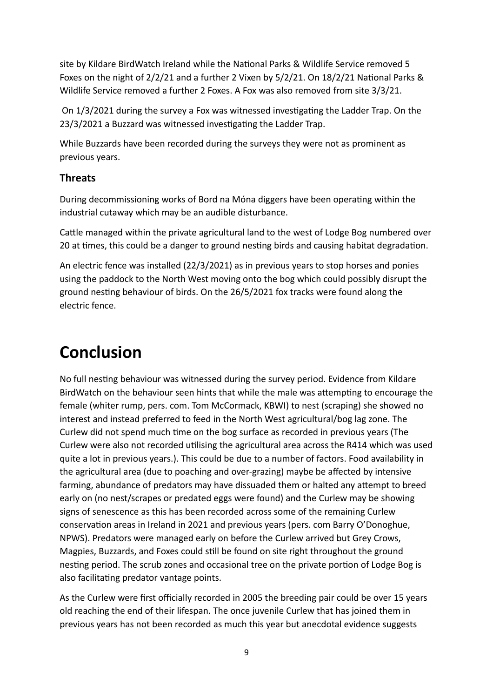site by Kildare BirdWatch Ireland while the National Parks & Wildlife Service removed 5 Foxes on the night of 2/2/21 and a further 2 Vixen by 5/2/21. On 18/2/21 National Parks & Wildlife Service removed a further 2 Foxes. A Fox was also removed from site 3/3/21.

 On 1/3/2021 during the survey a Fox was witnessed investigating the Ladder Trap. On the 23/3/2021 a Buzzard was witnessed investigating the Ladder Trap.

While Buzzards have been recorded during the surveys they were not as prominent as previous years.

### **Threats**

During decommissioning works of Bord na Móna diggers have been operating within the industrial cutaway which may be an audible disturbance.

Cattle managed within the private agricultural land to the west of Lodge Bog numbered over 20 at times, this could be a danger to ground nesting birds and causing habitat degradation.

An electric fence was installed (22/3/2021) as in previous years to stop horses and ponies using the paddock to the North West moving onto the bog which could possibly disrupt the ground nesting behaviour of birds. On the 26/5/2021 fox tracks were found along the electric fence.

# **Conclusion**

No full nesting behaviour was witnessed during the survey period. Evidence from Kildare BirdWatch on the behaviour seen hints that while the male was attempting to encourage the female (whiter rump, pers. com. Tom McCormack, KBWI) to nest (scraping) she showed no interest and instead preferred to feed in the North West agricultural/bog lag zone. The Curlew did not spend much time on the bog surface as recorded in previous years (The Curlew were also not recorded utilising the agricultural area across the R414 which was used quite a lot in previous years.). This could be due to a number of factors. Food availability in the agricultural area (due to poaching and over-grazing) maybe be affected by intensive farming, abundance of predators may have dissuaded them or halted any attempt to breed early on (no nest/scrapes or predated eggs were found) and the Curlew may be showing signs of senescence as this has been recorded across some of the remaining Curlew conservation areas in Ireland in 2021 and previous years (pers. com Barry O'Donoghue, NPWS). Predators were managed early on before the Curlew arrived but Grey Crows, Magpies, Buzzards, and Foxes could still be found on site right throughout the ground nesting period. The scrub zones and occasional tree on the private portion of Lodge Bog is also facilitating predator vantage points.

As the Curlew were first officially recorded in 2005 the breeding pair could be over 15 years old reaching the end of their lifespan. The once juvenile Curlew that has joined them in previous years has not been recorded as much this year but anecdotal evidence suggests